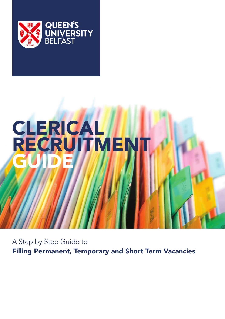

# **CLERICALI RECRUITMENT** GUIDE

A Step by Step Guide to Filling Permanent, Temporary and Short Term Vacancies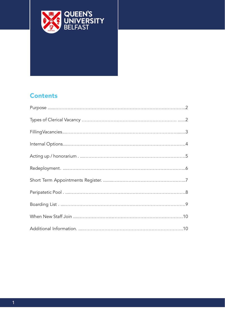

# **Contents**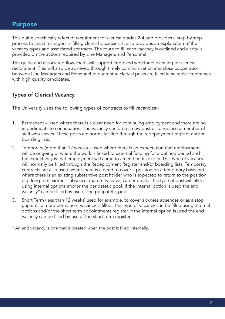#### Purpose

This guide specifically refers to recruitment for clerical grades 2-4 and provides a step by step process to assist managers in filling clerical vacancies. It also provides an explanation of the vacancy types and associated contracts. The route to fill each vacancy is outlined and clarity is provided on the actions required by Line Managers and Personnel.

The guide and associated flow charts will support improved workforce planning for clerical recruitment. This will also be achieved through timely communication and close cooperation between Line Managers and Personnel to guarantee clerical posts are filled in suitable timeframes with high quality candidates.

#### Types of Clerical Vacancy

The University uses the following types of contracts to fill vacancies:-

- 1. Permanent used where there is a clear need for continuing employment and there are no impediments to continuation. The vacancy could be a new post or to replace a member of staff who leaves. These posts are normally filled through the redeployment register and/or boarding lists.
- 2. Temporary (more than 12 weeks) used where there is an expectation that employment will be ongoing or where the work is linked to external funding for a defined period and the expectancy is that employment will come to an end on its expiry. This type of vacancy will normally be filled through the Redeployment Register and/or boarding lists. Temporary contracts are also used where there is a need to cover a position on a temporary basis but where there is an existing substantive post holder who is expected to return to the position, e.g. long term sickness absence, maternity leave, career break. This type of post will filled using internal options and/or the peripatetic pool. If the internal option is used the end vacancy\* can be filled by use of the peripatetic pool.
- 3. Short Term (less than 12 weeks) used for example, to cover sickness absences or as a stop gap until a more permanent vacancy is filled. This type of vacancy can be filled using internal options and/or the short term appointments register. If the internal option is used the end vacancy can be filled by use of the short term register.

\* An end vacancy is one that is created when the post is filled internally.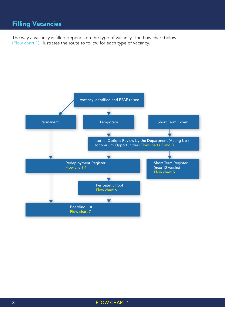# Filling Vacancies

The way a vacancy is filled depends on the type of vacancy. The flow chart below (Flow chart 1) illustrates the route to follow for each type of vacancy.

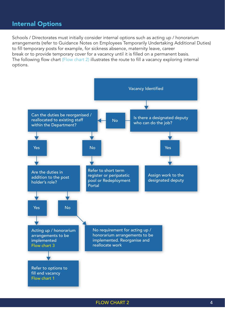#### Internal Options

Schools / Directorates must initially consider internal options such as acting up / honorarium arrangements (refer to Guidance Notes on Employees Temporarily Undertaking Additional Duties) to fill temporary posts for example, for sickness absence, maternity leave, career break or to provide temporary cover for a vacancy until it is filled on a permanent basis. The following flow chart (Flow chart 2) illustrates the route to fill a vacancy exploring internal options.



FLOW CHART 2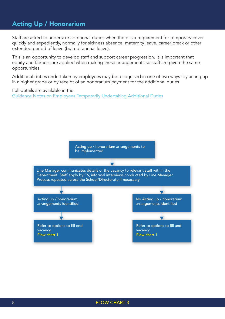#### Acting Up / Honorarium

Staff are asked to undertake additional duties when there is a requirement for temporary cover quickly and expediently, normally for sickness absence, maternity leave, career break or other extended period of leave (but not annual leave).

This is an opportunity to develop staff and support career progression. It is important that equity and fairness are applied when making these arrangements so staff are given the same opportunities.

Additional duties undertaken by employees may be recognised in one of two ways: by acting up in a higher grade or by receipt of an honorarium payment for the additional duties.

Full details are available in the Guidance Notes on Employees Temporarily Undertaking Additional Duties

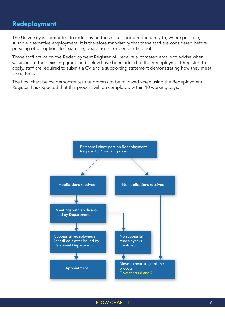#### Redeployment

The University is committed to redeploying those staff facing redundancy to, where possible, suitable alternative employment. It is therefore mandatory that these staff are considered before pursuing other options for example, boarding list or peripatetic pool.

Those staff active on the Redeployment Register will receive automated emails to advise when vacancies at their existing grade and below have been added to the Redeployment Register. To apply, staff are required to submit a CV and a supporting statement demonstrating how they meet the criteria.

The flow chart below demonstrates the process to be followed when using the Redeployment Register. It is expected that this process will be completed within 10 working days.

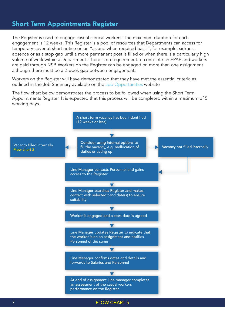#### Short Term Appointments Register

The Register is used to engage casual clerical workers. The maximum duration for each engagement is 12 weeks. This Register is a pool of resources that Departments can access for temporary cover at short notice on an "as and when required basis", for example, sickness absence or as a stop gap until a more permanent post is filled or when there is a particularly high volume of work within a Department. There is no requirement to complete an EPAF and workers are paid through NSP. Workers on the Register can be engaged on more than one assignment although there must be a 2 week gap between engagements.

Workers on the Register will have demonstrated that they have met the essential criteria as outlined in the Job Summary available on the Job Opportunities website

The flow chart below demonstrates the process to be followed when using the Short Term Appointments Register. It is expected that this process will be completed within a maximum of 5 working days.



FLOW CHART 5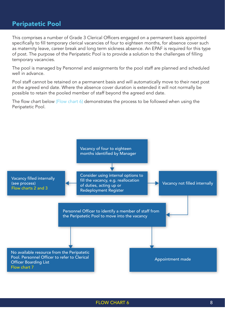#### Peripatetic Pool

This comprises a number of Grade 3 Clerical Officers engaged on a permanent basis appointed specifically to fill temporary clerical vacancies of four to eighteen months, for absence cover such as maternity leave, career break and long term sickness absence. An EPAF is required for this type of post. The purpose of the Peripatetic Pool is to provide a solution to the challenges of filling temporary vacancies.

The pool is managed by Personnel and assignments for the pool staff are planned and scheduled well in advance.

Pool staff cannot be retained on a permanent basis and will automatically move to their next post at the agreed end date. Where the absence cover duration is extended it will not normally be possible to retain the pooled member of staff beyond the agreed end date.

The flow chart below (Flow chart 6) demonstrates the process to be followed when using the Peripatetic Pool.

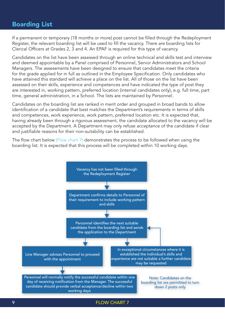#### Boarding List

If a permanent or temporary (18 months or more) post cannot be filled through the Redeployment Register, the relevant boarding list will be used to fill the vacancy. There are boarding lists for Clerical Officers at Grades 2, 3 and 4. An EPAF is required for this type of vacancy.

Candidates on the list have been assessed through an online technical and skills test and interview and deemed appointable by a Panel comprised of Personnel, Senior Administrators and School Managers. The assessments have been designed to ensure that candidates meet the criteria for the grade applied for in full as outlined in the Employee Specification. Only candidates who have attained this standard will achieve a place on the list. All of those on the list have been assessed on their skills, experience and competences and have indicated the type of post they are interested in, working pattern, preferred location (internal candidates only), e.g. full time, part time, general administration, in a School. The lists are maintained by Personnel.

Candidates on the boarding list are ranked in merit order and grouped in broad bands to allow identification of a candidate that best matches the Department's requirements in terms of skills and competences, work experience, work pattern, preferred location etc. It is expected that, having already been through a rigorous assessment, the candidate allocated to the vacancy will be accepted by the Department. A Department may only refuse acceptance of the candidate if clear and justifiable reasons for their non-suitability can be established.

The flow chart below (Flow chart 7) demonstrates the process to be followed when using the boarding list. It is expected that this process will be completed within 10 working days.



#### FLOW CHART 7